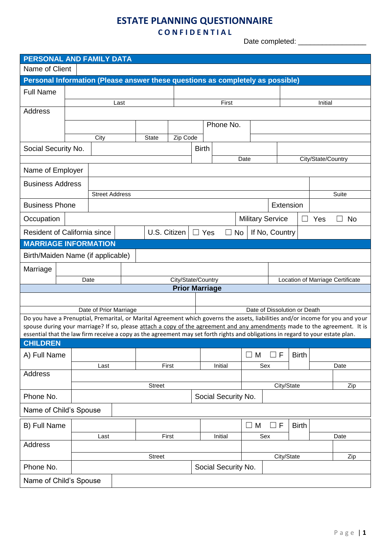## **ESTATE PLANNING QUESTIONNAIRE**

## **C O N F I D E N T I A L**

Date completed: \_\_\_\_\_\_\_\_\_\_\_\_\_\_\_\_\_

| PERSONAL AND FAMILY DATA                                                                                                                                                                                                                                     |                                                                |                        |      |               |          |            |  |                     |           |                      |                              |              |                    |           |
|--------------------------------------------------------------------------------------------------------------------------------------------------------------------------------------------------------------------------------------------------------------|----------------------------------------------------------------|------------------------|------|---------------|----------|------------|--|---------------------|-----------|----------------------|------------------------------|--------------|--------------------|-----------|
| Name of Client                                                                                                                                                                                                                                               |                                                                |                        |      |               |          |            |  |                     |           |                      |                              |              |                    |           |
| Personal Information (Please answer these questions as completely as possible)                                                                                                                                                                               |                                                                |                        |      |               |          |            |  |                     |           |                      |                              |              |                    |           |
| <b>Full Name</b>                                                                                                                                                                                                                                             |                                                                |                        |      |               |          |            |  |                     |           |                      |                              |              |                    |           |
|                                                                                                                                                                                                                                                              |                                                                |                        | Last |               |          |            |  | First               |           |                      |                              |              | Initial            |           |
| <b>Address</b>                                                                                                                                                                                                                                               |                                                                |                        |      |               |          |            |  |                     |           |                      |                              |              |                    |           |
|                                                                                                                                                                                                                                                              |                                                                | Phone No.              |      |               |          |            |  |                     |           |                      |                              |              |                    |           |
|                                                                                                                                                                                                                                                              |                                                                | City                   |      | <b>State</b>  | Zip Code |            |  |                     |           |                      |                              |              |                    |           |
| Social Security No.<br><b>Birth</b>                                                                                                                                                                                                                          |                                                                |                        |      |               |          |            |  |                     |           |                      |                              |              |                    |           |
|                                                                                                                                                                                                                                                              |                                                                |                        |      |               |          |            |  |                     | Date      |                      |                              |              | City/State/Country |           |
| Name of Employer                                                                                                                                                                                                                                             |                                                                |                        |      |               |          |            |  |                     |           |                      |                              |              |                    |           |
| <b>Business Address</b>                                                                                                                                                                                                                                      |                                                                |                        |      |               |          |            |  |                     |           |                      |                              |              |                    |           |
|                                                                                                                                                                                                                                                              |                                                                | <b>Street Address</b>  |      |               |          |            |  |                     |           |                      |                              |              |                    | Suite     |
| <b>Business Phone</b>                                                                                                                                                                                                                                        |                                                                |                        |      |               |          |            |  |                     |           |                      | Extension                    |              |                    |           |
| Occupation                                                                                                                                                                                                                                                   |                                                                |                        |      |               |          |            |  |                     |           |                      | <b>Military Service</b>      |              | Yes                | <b>No</b> |
| Resident of California since                                                                                                                                                                                                                                 |                                                                |                        |      | U.S. Citizen  |          | $\Box$ Yes |  | $\mathbf{I}$        | <b>No</b> |                      | If No, Country               |              |                    |           |
| <b>MARRIAGE INFORMATION</b>                                                                                                                                                                                                                                  |                                                                |                        |      |               |          |            |  |                     |           |                      |                              |              |                    |           |
| Birth/Maiden Name (if applicable)                                                                                                                                                                                                                            |                                                                |                        |      |               |          |            |  |                     |           |                      |                              |              |                    |           |
| Marriage                                                                                                                                                                                                                                                     |                                                                |                        |      |               |          |            |  |                     |           |                      |                              |              |                    |           |
|                                                                                                                                                                                                                                                              | City/State/Country<br>Location of Marriage Certificate<br>Date |                        |      |               |          |            |  |                     |           |                      |                              |              |                    |           |
| <b>Prior Marriage</b>                                                                                                                                                                                                                                        |                                                                |                        |      |               |          |            |  |                     |           |                      |                              |              |                    |           |
|                                                                                                                                                                                                                                                              |                                                                |                        |      |               |          |            |  |                     |           |                      |                              |              |                    |           |
| Do you have a Prenuptial, Premarital, or Marital Agreement which governs the assets, liabilities and/or income for you and your                                                                                                                              |                                                                | Date of Prior Marriage |      |               |          |            |  |                     |           |                      | Date of Dissolution or Death |              |                    |           |
|                                                                                                                                                                                                                                                              |                                                                |                        |      |               |          |            |  |                     |           |                      |                              |              |                    |           |
| spouse during your marriage? If so, please attach a copy of the agreement and any amendments made to the agreement. It is<br>essential that the law firm receive a copy as the agreement may set forth rights and obligations in regard to your estate plan. |                                                                |                        |      |               |          |            |  |                     |           |                      |                              |              |                    |           |
| <b>CHILDREN</b>                                                                                                                                                                                                                                              |                                                                |                        |      |               |          |            |  |                     |           |                      |                              |              |                    |           |
| A) Full Name                                                                                                                                                                                                                                                 |                                                                |                        |      |               |          |            |  |                     |           | $\Box$ M             | $\Box$ F                     | <b>Birth</b> |                    |           |
|                                                                                                                                                                                                                                                              |                                                                | Last                   |      |               | First    |            |  | Initial             |           | Sex                  |                              |              |                    | Date      |
| Address                                                                                                                                                                                                                                                      |                                                                |                        |      |               |          |            |  |                     |           |                      |                              |              |                    |           |
|                                                                                                                                                                                                                                                              |                                                                |                        |      | <b>Street</b> |          |            |  |                     |           |                      | City/State                   |              |                    | Zip       |
|                                                                                                                                                                                                                                                              | Phone No.<br>Social Security No.                               |                        |      |               |          |            |  |                     |           |                      |                              |              |                    |           |
| Name of Child's Spouse                                                                                                                                                                                                                                       |                                                                |                        |      |               |          |            |  |                     |           |                      |                              |              |                    |           |
| B) Full Name                                                                                                                                                                                                                                                 |                                                                |                        |      |               |          |            |  |                     |           | $\Box$ M<br>$\Box$ F |                              | <b>Birth</b> |                    |           |
|                                                                                                                                                                                                                                                              | First<br>Sex<br>Initial<br>Last                                |                        |      |               | Date     |            |  |                     |           |                      |                              |              |                    |           |
| Address                                                                                                                                                                                                                                                      |                                                                |                        |      |               |          |            |  |                     |           |                      |                              |              |                    |           |
|                                                                                                                                                                                                                                                              |                                                                |                        |      | <b>Street</b> |          |            |  |                     |           |                      | City/State                   |              |                    | Zip       |
| Phone No.                                                                                                                                                                                                                                                    |                                                                |                        |      |               |          |            |  | Social Security No. |           |                      |                              |              |                    |           |
| Name of Child's Spouse                                                                                                                                                                                                                                       |                                                                |                        |      |               |          |            |  |                     |           |                      |                              |              |                    |           |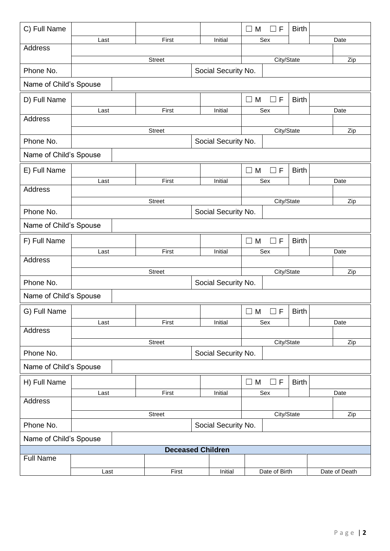| C) Full Name                     |                     |  |                          |                     | $\Box$ M                    | ГΙ<br>F           | <b>Birth</b> |  |               |
|----------------------------------|---------------------|--|--------------------------|---------------------|-----------------------------|-------------------|--------------|--|---------------|
|                                  | Last                |  | First                    | Initial             | Sex                         |                   |              |  | Date          |
| <b>Address</b>                   |                     |  |                          |                     |                             |                   |              |  |               |
|                                  |                     |  | City/State<br>Zip        |                     |                             |                   |              |  |               |
| Phone No.                        |                     |  | <b>Street</b>            | Social Security No. |                             |                   |              |  |               |
| Name of Child's Spouse           |                     |  |                          |                     |                             |                   |              |  |               |
|                                  |                     |  |                          |                     |                             |                   | <b>Birth</b> |  |               |
| D) Full Name                     |                     |  | First                    | Initial             | $\Box$ M<br>$\Box$ F<br>Sex |                   |              |  |               |
| <b>Address</b>                   | Last                |  |                          |                     |                             |                   | Date         |  |               |
|                                  |                     |  | City/State               |                     | Zip                         |                   |              |  |               |
| Phone No.                        |                     |  | Social Security No.      |                     |                             |                   |              |  |               |
| Name of Child's Spouse           |                     |  |                          |                     |                             |                   |              |  |               |
| E) Full Name                     |                     |  |                          |                     | $\Box$ M                    | $\Box$ F          | <b>Birth</b> |  |               |
|                                  | Last                |  | First                    | Initial             | Sex                         |                   |              |  | Date          |
| <b>Address</b>                   |                     |  |                          |                     |                             |                   |              |  |               |
|                                  |                     |  | <b>Street</b>            |                     |                             | City/State<br>Zip |              |  |               |
| Phone No.                        | Social Security No. |  |                          |                     |                             |                   |              |  |               |
| Name of Child's Spouse           |                     |  |                          |                     |                             |                   |              |  |               |
| F) Full Name                     |                     |  |                          |                     | M<br>$\Box$                 | $\Box$ F          | <b>Birth</b> |  |               |
|                                  | Last                |  | First                    | Initial             | Sex                         |                   |              |  | Date          |
| <b>Address</b>                   |                     |  |                          |                     |                             |                   |              |  |               |
|                                  |                     |  | <b>Street</b>            |                     |                             | City/State        |              |  | Zip           |
| Phone No.<br>Social Security No. |                     |  |                          |                     |                             |                   |              |  |               |
| Name of Child's Spouse           |                     |  |                          |                     |                             |                   |              |  |               |
| G) Full Name                     |                     |  |                          |                     | $\Box$ M                    | F                 | <b>Birth</b> |  |               |
|                                  | Last                |  | First                    | Initial             | Sex                         |                   |              |  | Date          |
| Address                          |                     |  |                          |                     |                             |                   |              |  |               |
|                                  |                     |  | <b>Street</b>            |                     | City/State                  |                   |              |  | Zip           |
| Phone No.                        |                     |  |                          | Social Security No. |                             |                   |              |  |               |
| Name of Child's Spouse           |                     |  |                          |                     |                             |                   |              |  |               |
| H) Full Name                     |                     |  |                          |                     | $\Box$ M                    | $\Box$ F          | <b>Birth</b> |  |               |
| Address                          | Last                |  | First                    | Initial             | Sex                         |                   |              |  | Date          |
|                                  |                     |  |                          |                     |                             |                   |              |  |               |
|                                  | <b>Street</b>       |  |                          |                     | City/State                  |                   |              |  | Zip           |
| Phone No.<br>Social Security No. |                     |  |                          |                     |                             |                   |              |  |               |
| Name of Child's Spouse           |                     |  |                          |                     |                             |                   |              |  |               |
| <b>Full Name</b>                 |                     |  | <b>Deceased Children</b> |                     |                             |                   |              |  |               |
|                                  |                     |  | First                    | Initial             |                             | Date of Birth     |              |  | Date of Death |
|                                  | Last                |  |                          |                     |                             |                   |              |  |               |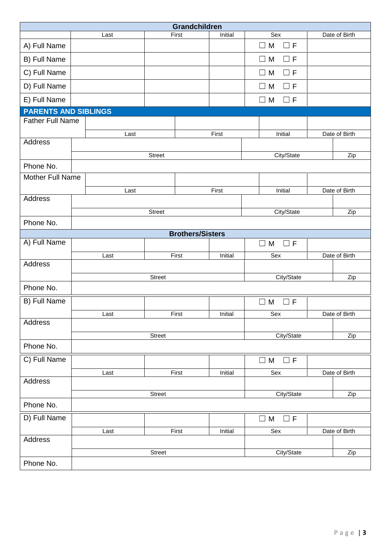| Grandchildren               |               |                   |                         |            |                                |               |               |  |
|-----------------------------|---------------|-------------------|-------------------------|------------|--------------------------------|---------------|---------------|--|
|                             | Last          |                   | First<br>Initial        |            | Sex                            | Date of Birth |               |  |
| A) Full Name                |               |                   |                         |            | M<br>$\Box$ F<br>$\mathcal{L}$ |               |               |  |
| B) Full Name                |               |                   |                         |            | M<br>$\Box$ F<br>$\Box$        |               |               |  |
| C) Full Name                |               |                   |                         |            | $\Box F$<br>M<br>$\Box$        |               |               |  |
| D) Full Name                |               |                   |                         |            | M<br>$\Box$ F<br>⊔             |               |               |  |
| E) Full Name                |               |                   |                         |            | M<br>$\Box F$<br>$\Box$        |               |               |  |
| <b>PARENTS AND SIBLINGS</b> |               |                   |                         |            |                                |               |               |  |
| <b>Father Full Name</b>     |               |                   |                         |            |                                |               |               |  |
|                             | Last          |                   |                         | First      | Initial                        |               | Date of Birth |  |
| Address                     |               |                   |                         |            |                                |               |               |  |
|                             |               | Street            | City/State              |            | Zip                            |               |               |  |
| Phone No.                   |               |                   |                         |            |                                |               |               |  |
| <b>Mother Full Name</b>     |               |                   |                         |            |                                |               |               |  |
|                             | Last          |                   | First                   |            | Initial                        | Date of Birth |               |  |
| Address                     |               |                   |                         |            |                                |               |               |  |
|                             |               | Street            |                         |            | City/State                     |               | Zip           |  |
| Phone No.                   |               |                   |                         |            |                                |               |               |  |
|                             |               |                   | <b>Brothers/Sisters</b> |            |                                |               |               |  |
| A) Full Name                |               |                   |                         |            | M<br>$\Box F$<br>$\Box$        |               |               |  |
|                             | Last          |                   | First                   | Initial    | Sex                            |               | Date of Birth |  |
| Address                     |               |                   |                         |            |                                |               |               |  |
|                             |               | Street            |                         | City/State |                                | Zip           |               |  |
| Phone No.                   |               |                   |                         |            |                                |               |               |  |
| B) Full Name                |               |                   |                         |            | M<br>$\Box F$<br>$\Box$        |               |               |  |
|                             | Last          |                   | First                   | Initial    | Sex                            |               | Date of Birth |  |
| Address                     |               |                   |                         |            |                                |               |               |  |
|                             |               | City/State<br>Zip |                         |            |                                |               |               |  |
| Phone No.                   |               |                   |                         |            |                                |               |               |  |
| C) Full Name                |               |                   |                         |            | $\Box$ M<br>$\Box F$           |               |               |  |
|                             | Last          |                   | First                   | Initial    | Sex                            |               | Date of Birth |  |
| Address                     |               |                   |                         |            |                                |               |               |  |
|                             | <b>Street</b> |                   |                         |            | City/State<br>Zip              |               |               |  |
| Phone No.                   |               |                   |                         |            |                                |               |               |  |
| D) Full Name                |               |                   |                         |            | $\Box$ F<br>$\Box$ M           |               |               |  |
|                             | Last          |                   | First                   | Initial    | Sex                            |               | Date of Birth |  |
| Address                     |               |                   |                         |            |                                |               |               |  |
|                             |               | <b>Street</b>     |                         |            | City/State                     |               | Zip           |  |
| Phone No.                   |               |                   |                         |            |                                |               |               |  |